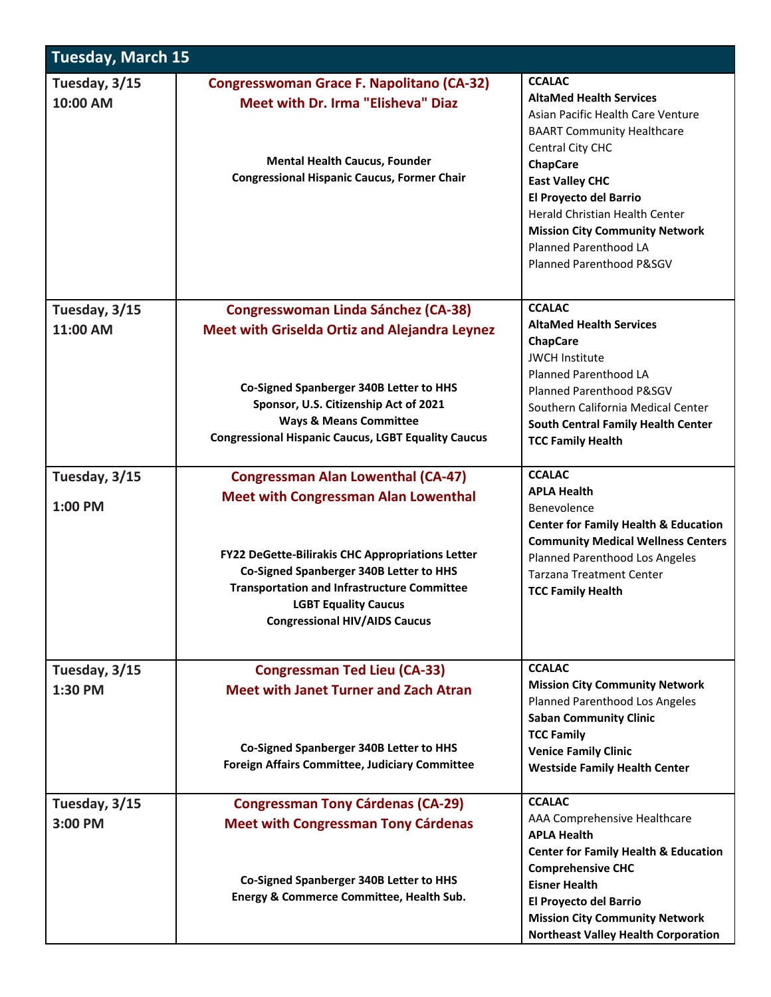| <b>Tuesday, March 15</b>  |                                                                                                                                                                                                                                                                                                                      |                                                                                                                                                                                                                                                                                                                                                      |  |  |
|---------------------------|----------------------------------------------------------------------------------------------------------------------------------------------------------------------------------------------------------------------------------------------------------------------------------------------------------------------|------------------------------------------------------------------------------------------------------------------------------------------------------------------------------------------------------------------------------------------------------------------------------------------------------------------------------------------------------|--|--|
| Tuesday, 3/15<br>10:00 AM | <b>Congresswoman Grace F. Napolitano (CA-32)</b><br><b>Meet with Dr. Irma "Elisheva" Diaz</b><br><b>Mental Health Caucus, Founder</b><br><b>Congressional Hispanic Caucus, Former Chair</b>                                                                                                                          | <b>CCALAC</b><br><b>AltaMed Health Services</b><br>Asian Pacific Health Care Venture<br><b>BAART Community Healthcare</b><br>Central City CHC<br><b>ChapCare</b><br><b>East Valley CHC</b><br>El Proyecto del Barrio<br>Herald Christian Health Center<br><b>Mission City Community Network</b><br>Planned Parenthood LA<br>Planned Parenthood P&SGV |  |  |
| Tuesday, 3/15<br>11:00 AM | <b>Congresswoman Linda Sánchez (CA-38)</b><br><b>Meet with Griselda Ortiz and Alejandra Leynez</b><br>Co-Signed Spanberger 340B Letter to HHS<br>Sponsor, U.S. Citizenship Act of 2021<br><b>Ways &amp; Means Committee</b><br><b>Congressional Hispanic Caucus, LGBT Equality Caucus</b>                            | <b>CCALAC</b><br><b>AltaMed Health Services</b><br><b>ChapCare</b><br><b>JWCH Institute</b><br>Planned Parenthood LA<br>Planned Parenthood P&SGV<br>Southern California Medical Center<br><b>South Central Family Health Center</b><br><b>TCC Family Health</b>                                                                                      |  |  |
| Tuesday, 3/15<br>1:00 PM  | <b>Congressman Alan Lowenthal (CA-47)</b><br><b>Meet with Congressman Alan Lowenthal</b><br>FY22 DeGette-Bilirakis CHC Appropriations Letter<br>Co-Signed Spanberger 340B Letter to HHS<br><b>Transportation and Infrastructure Committee</b><br><b>LGBT Equality Caucus</b><br><b>Congressional HIV/AIDS Caucus</b> | <b>CCALAC</b><br><b>APLA Health</b><br>Benevolence<br><b>Center for Family Health &amp; Education</b><br><b>Community Medical Wellness Centers</b><br>Planned Parenthood Los Angeles<br><b>Tarzana Treatment Center</b><br><b>TCC Family Health</b>                                                                                                  |  |  |
| Tuesday, 3/15<br>1:30 PM  | <b>Congressman Ted Lieu (CA-33)</b><br><b>Meet with Janet Turner and Zach Atran</b><br>Co-Signed Spanberger 340B Letter to HHS<br><b>Foreign Affairs Committee, Judiciary Committee</b>                                                                                                                              | <b>CCALAC</b><br><b>Mission City Community Network</b><br>Planned Parenthood Los Angeles<br><b>Saban Community Clinic</b><br><b>TCC Family</b><br><b>Venice Family Clinic</b><br><b>Westside Family Health Center</b>                                                                                                                                |  |  |
| Tuesday, 3/15<br>3:00 PM  | <b>Congressman Tony Cárdenas (CA-29)</b><br><b>Meet with Congressman Tony Cárdenas</b><br>Co-Signed Spanberger 340B Letter to HHS<br>Energy & Commerce Committee, Health Sub.                                                                                                                                        | <b>CCALAC</b><br>AAA Comprehensive Healthcare<br><b>APLA Health</b><br><b>Center for Family Health &amp; Education</b><br><b>Comprehensive CHC</b><br><b>Eisner Health</b><br>El Proyecto del Barrio<br><b>Mission City Community Network</b><br><b>Northeast Valley Health Corporation</b>                                                          |  |  |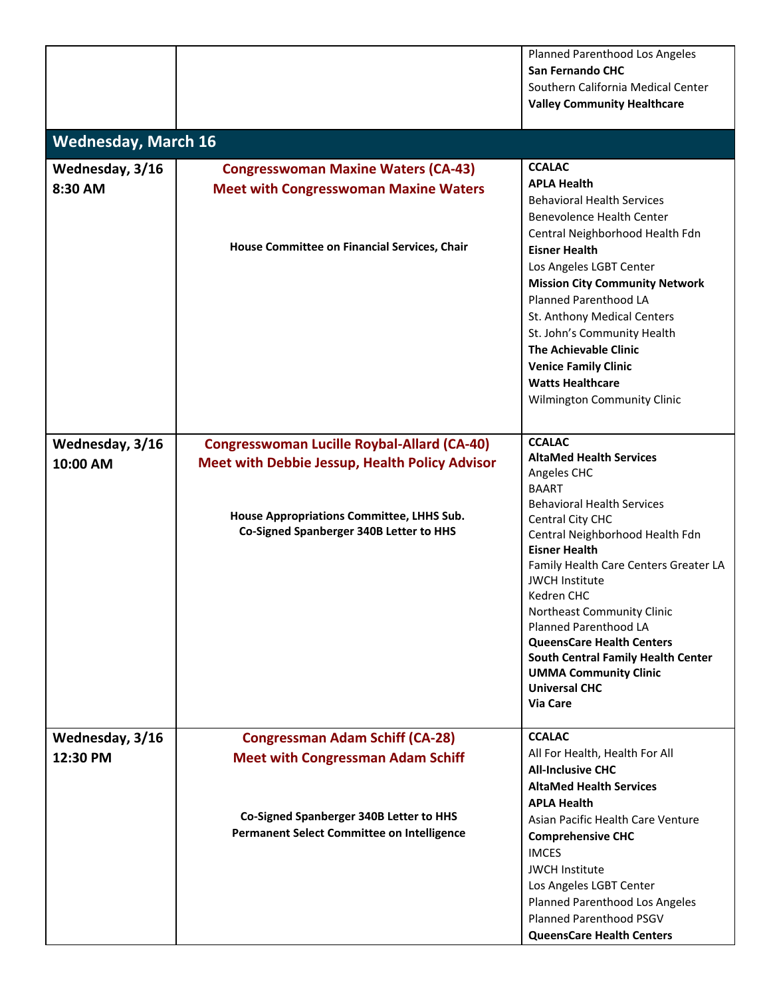|                            |                                                       | Planned Parenthood Los Angeles                                            |
|----------------------------|-------------------------------------------------------|---------------------------------------------------------------------------|
|                            |                                                       | <b>San Fernando CHC</b>                                                   |
|                            |                                                       | Southern California Medical Center                                        |
|                            |                                                       | <b>Valley Community Healthcare</b>                                        |
|                            |                                                       |                                                                           |
| <b>Wednesday, March 16</b> |                                                       |                                                                           |
| Wednesday, 3/16            | <b>Congresswoman Maxine Waters (CA-43)</b>            | <b>CCALAC</b>                                                             |
| 8:30 AM                    | <b>Meet with Congresswoman Maxine Waters</b>          | <b>APLA Health</b>                                                        |
|                            |                                                       | <b>Behavioral Health Services</b>                                         |
|                            |                                                       | <b>Benevolence Health Center</b>                                          |
|                            | House Committee on Financial Services, Chair          | Central Neighborhood Health Fdn                                           |
|                            |                                                       | <b>Eisner Health</b>                                                      |
|                            |                                                       | Los Angeles LGBT Center                                                   |
|                            |                                                       | <b>Mission City Community Network</b>                                     |
|                            |                                                       | <b>Planned Parenthood LA</b>                                              |
|                            |                                                       | St. Anthony Medical Centers                                               |
|                            |                                                       | St. John's Community Health<br><b>The Achievable Clinic</b>               |
|                            |                                                       | <b>Venice Family Clinic</b>                                               |
|                            |                                                       | <b>Watts Healthcare</b>                                                   |
|                            |                                                       | Wilmington Community Clinic                                               |
|                            |                                                       |                                                                           |
| Wednesday, 3/16            | <b>Congresswoman Lucille Roybal-Allard (CA-40)</b>    | <b>CCALAC</b>                                                             |
| 10:00 AM                   | <b>Meet with Debbie Jessup, Health Policy Advisor</b> | <b>AltaMed Health Services</b>                                            |
|                            |                                                       | Angeles CHC                                                               |
|                            |                                                       | <b>BAART</b>                                                              |
|                            | House Appropriations Committee, LHHS Sub.             | <b>Behavioral Health Services</b>                                         |
|                            | Co-Signed Spanberger 340B Letter to HHS               | Central City CHC<br>Central Neighborhood Health Fdn                       |
|                            |                                                       | <b>Eisner Health</b>                                                      |
|                            |                                                       | Family Health Care Centers Greater LA                                     |
|                            |                                                       | <b>JWCH Institute</b>                                                     |
|                            |                                                       | Kedren CHC                                                                |
|                            |                                                       | Northeast Community Clinic                                                |
|                            |                                                       | <b>Planned Parenthood LA</b>                                              |
|                            |                                                       | <b>QueensCare Health Centers</b>                                          |
|                            |                                                       | <b>South Central Family Health Center</b><br><b>UMMA Community Clinic</b> |
|                            |                                                       | <b>Universal CHC</b>                                                      |
|                            |                                                       | Via Care                                                                  |
| Wednesday, 3/16            | <b>Congressman Adam Schiff (CA-28)</b>                | <b>CCALAC</b>                                                             |
| 12:30 PM                   | <b>Meet with Congressman Adam Schiff</b>              | All For Health, Health For All                                            |
|                            |                                                       | <b>All-Inclusive CHC</b>                                                  |
|                            |                                                       | <b>AltaMed Health Services</b>                                            |
|                            |                                                       | <b>APLA Health</b>                                                        |
|                            | Co-Signed Spanberger 340B Letter to HHS               | Asian Pacific Health Care Venture                                         |
|                            | <b>Permanent Select Committee on Intelligence</b>     | <b>Comprehensive CHC</b>                                                  |
|                            |                                                       | <b>IMCES</b>                                                              |
|                            |                                                       | <b>JWCH Institute</b>                                                     |
|                            |                                                       | Los Angeles LGBT Center                                                   |
|                            |                                                       | Planned Parenthood Los Angeles                                            |
|                            |                                                       | <b>Planned Parenthood PSGV</b>                                            |
|                            |                                                       | <b>QueensCare Health Centers</b>                                          |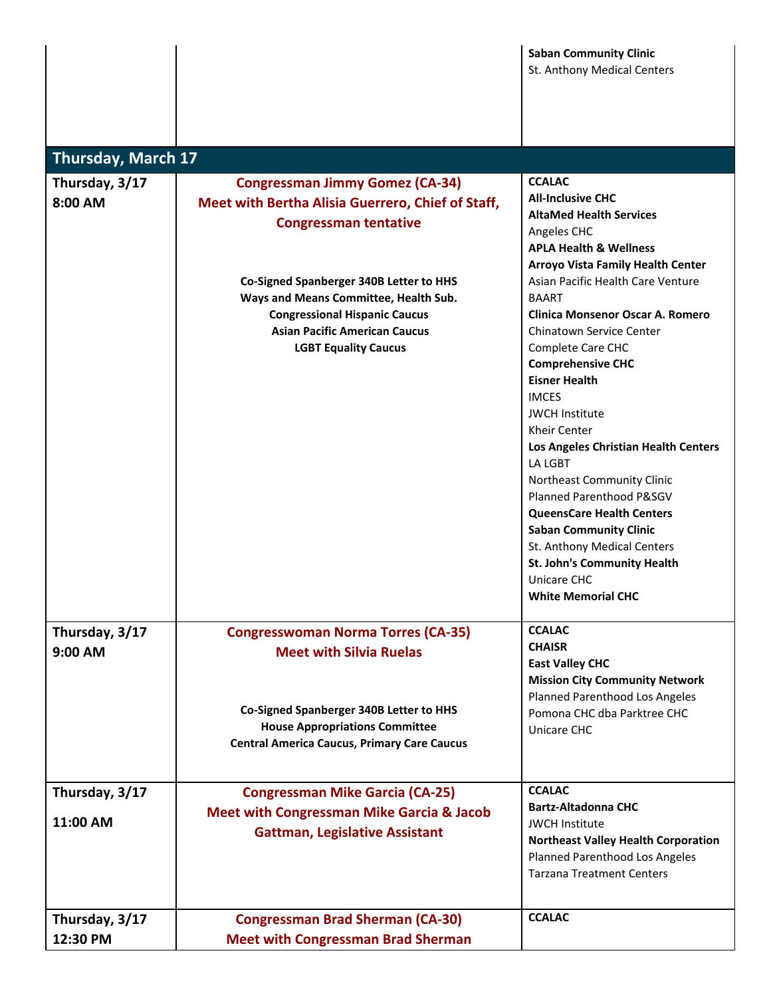| <b>Saban Community Clinic</b> |
|-------------------------------|
| St. Anthony Medical Centers   |

| <b>Thursday, March 17</b>  |                                                                                                                                                                                                 |                                                                                                                                                                                                                                                                                                                                                                                                                                                                                                                                                                      |
|----------------------------|-------------------------------------------------------------------------------------------------------------------------------------------------------------------------------------------------|----------------------------------------------------------------------------------------------------------------------------------------------------------------------------------------------------------------------------------------------------------------------------------------------------------------------------------------------------------------------------------------------------------------------------------------------------------------------------------------------------------------------------------------------------------------------|
| Thursday, 3/17<br>8:00 AM  | <b>Congressman Jimmy Gomez (CA-34)</b><br><b>Meet with Bertha Alisia Guerrero, Chief of Staff,</b><br><b>Congressman tentative</b>                                                              | <b>CCALAC</b><br><b>All-Inclusive CHC</b><br><b>AltaMed Health Services</b><br>Angeles CHC<br><b>APLA Health &amp; Wellness</b><br><b>Arroyo Vista Family Health Center</b>                                                                                                                                                                                                                                                                                                                                                                                          |
|                            | Co-Signed Spanberger 340B Letter to HHS<br>Ways and Means Committee, Health Sub.<br><b>Congressional Hispanic Caucus</b><br><b>Asian Pacific American Caucus</b><br><b>LGBT Equality Caucus</b> | Asian Pacific Health Care Venture<br><b>BAART</b><br>Clinica Monsenor Oscar A. Romero<br><b>Chinatown Service Center</b><br>Complete Care CHC<br><b>Comprehensive CHC</b><br><b>Eisner Health</b><br><b>IMCES</b><br><b>JWCH Institute</b><br><b>Kheir Center</b><br>Los Angeles Christian Health Centers<br><b>LA LGBT</b><br>Northeast Community Clinic<br>Planned Parenthood P&SGV<br><b>QueensCare Health Centers</b><br><b>Saban Community Clinic</b><br>St. Anthony Medical Centers<br>St. John's Community Health<br>Unicare CHC<br><b>White Memorial CHC</b> |
| Thursday, 3/17<br>9:00 AM  | <b>Congresswoman Norma Torres (CA-35)</b><br><b>Meet with Silvia Ruelas</b>                                                                                                                     | <b>CCALAC</b><br><b>CHAISR</b><br><b>East Valley CHC</b><br><b>Mission City Community Network</b><br>Planned Parenthood Los Angeles                                                                                                                                                                                                                                                                                                                                                                                                                                  |
|                            | Co-Signed Spanberger 340B Letter to HHS<br><b>House Appropriations Committee</b><br><b>Central America Caucus, Primary Care Caucus</b>                                                          | Pomona CHC dba Parktree CHC<br>Unicare CHC                                                                                                                                                                                                                                                                                                                                                                                                                                                                                                                           |
| Thursday, 3/17<br>11:00 AM | <b>Congressman Mike Garcia (CA-25)</b><br><b>Meet with Congressman Mike Garcia &amp; Jacob</b><br><b>Gattman, Legislative Assistant</b>                                                         | <b>CCALAC</b><br><b>Bartz-Altadonna CHC</b><br><b>JWCH Institute</b><br><b>Northeast Valley Health Corporation</b><br>Planned Parenthood Los Angeles<br><b>Tarzana Treatment Centers</b>                                                                                                                                                                                                                                                                                                                                                                             |
| Thursday, 3/17<br>12:30 PM | <b>Congressman Brad Sherman (CA-30)</b><br><b>Meet with Congressman Brad Sherman</b>                                                                                                            | <b>CCALAC</b>                                                                                                                                                                                                                                                                                                                                                                                                                                                                                                                                                        |